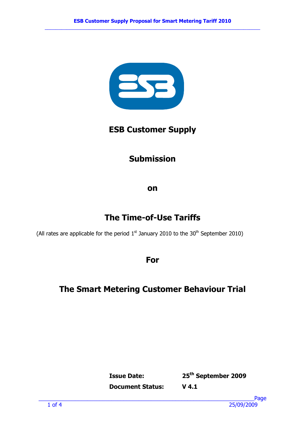

## ESB Customer Supply

# Submission

on

# The Time-of-Use Tariffs

(All rates are applicable for the period  $1<sup>st</sup>$  January 2010 to the 30<sup>th</sup> September 2010)

For

# The Smart Metering Customer Behaviour Trial

Issue Date: 25th September 2009

Document Status: V 4.1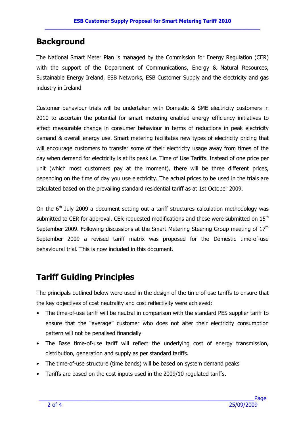### **Background**

The National Smart Meter Plan is managed by the Commission for Energy Regulation (CER) with the support of the Department of Communications, Energy & Natural Resources, Sustainable Energy Ireland, ESB Networks, ESB Customer Supply and the electricity and gas industry in Ireland

Customer behaviour trials will be undertaken with Domestic & SME electricity customers in 2010 to ascertain the potential for smart metering enabled energy efficiency initiatives to effect measurable change in consumer behaviour in terms of reductions in peak electricity demand & overall energy use. Smart metering facilitates new types of electricity pricing that will encourage customers to transfer some of their electricity usage away from times of the day when demand for electricity is at its peak i.e. Time of Use Tariffs. Instead of one price per unit (which most customers pay at the moment), there will be three different prices, depending on the time of day you use electricity. The actual prices to be used in the trials are calculated based on the prevailing standard residential tariff as at 1st October 2009.

On the  $6<sup>th</sup>$  July 2009 a document setting out a tariff structures calculation methodology was submitted to CER for approval. CER requested modifications and these were submitted on 15<sup>th</sup> September 2009. Following discussions at the Smart Metering Steering Group meeting of 17<sup>th</sup> September 2009 a revised tariff matrix was proposed for the Domestic time-of-use behavioural trial. This is now included in this document.

# Tariff Guiding Principles

The principals outlined below were used in the design of the time-of-use tariffs to ensure that the key objectives of cost neutrality and cost reflectivity were achieved:

- The time-of-use tariff will be neutral in comparison with the standard PES supplier tariff to ensure that the "average" customer who does not alter their electricity consumption pattern will not be penalised financially
- The Base time-of-use tariff will reflect the underlying cost of energy transmission, distribution, generation and supply as per standard tariffs.
- The time-of-use structure (time bands) will be based on system demand peaks
- Tariffs are based on the cost inputs used in the 2009/10 regulated tariffs.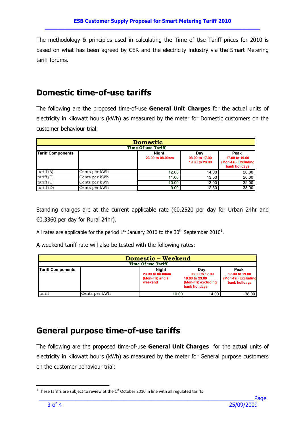The methodology & principles used in calculating the Time of Use Tariff prices for 2010 is based on what has been agreed by CER and the electricity industry via the Smart Metering tariff forums.

#### Domestic time-of-use tariffs

The following are the proposed time-of-use General Unit Charges for the actual units of electricity in Kilowatt hours (kWh) as measured by the meter for Domestic customers on the customer behaviour trial:

| <b>Domestic</b>           |                            |                                  |                                         |                                                                |  |  |  |  |
|---------------------------|----------------------------|----------------------------------|-----------------------------------------|----------------------------------------------------------------|--|--|--|--|
| <b>Time Of use Tariff</b> |                            |                                  |                                         |                                                                |  |  |  |  |
| <b>Tariff Components</b>  |                            | <b>Night</b><br>23.00 to 08.00am | Dav<br>08.00 to 17.00<br>19.00 to 23.00 | Peak<br>17.00 to 19.00<br>(Mon-Fri) Excluding<br>bank holidays |  |  |  |  |
| tariff (A)                | Cents per kWh              | 12.00                            | 14.00                                   | 20.00                                                          |  |  |  |  |
| tariff (B)                | Cents per kWh              | 11.00                            | 13.50                                   | 26.00                                                          |  |  |  |  |
| tariff (C)                | Cents per kWh              | 10.00                            | 13.00                                   | 32.00                                                          |  |  |  |  |
| tariff (D)                | Cents per $k\overline{Wh}$ | 9.00                             | 12.50                                   | 38.00                                                          |  |  |  |  |

Standing charges are at the current applicable rate (€0.2520 per day for Urban 24hr and €0.3360 per day for Rural 24hr).

All rates are applicable for the period  $1<sup>st</sup>$  January 2010 to the 30<sup>th</sup> September 2010<sup>1</sup>.

A weekend tariff rate will also be tested with the following rates:

| <b>Domestic - Weekend</b><br><b>Time Of use Tariff</b> |               |                                                           |                                                                                 |                                                                |  |  |  |
|--------------------------------------------------------|---------------|-----------------------------------------------------------|---------------------------------------------------------------------------------|----------------------------------------------------------------|--|--|--|
| <b>Tariff Components</b>                               |               | Niaht<br>23.00 to 08.00am<br>(Mon-Fri) and all<br>weekend | Dav<br>08.00 to 17.00<br>19.00 to 23.00<br>(Mon-Fri) excluding<br>bank holidavs | Peak<br>17.00 to 19.00<br>(Mon-Fri) Excluding<br>bank holidays |  |  |  |
| tariff                                                 | Cents per kWh | 10.00                                                     | 14.00                                                                           | 38.00                                                          |  |  |  |

#### General purpose time-of-use tariffs

The following are the proposed time-of-use **General Unit Charges** for the actual units of electricity in Kilowatt hours (kWh) as measured by the meter for General purpose customers on the customer behaviour trial:

 $\overline{a}$ 

<sup>&</sup>lt;sup>1</sup> These tariffs are subject to review at the 1<sup>st</sup> October 2010 in line with all regulated tariffs